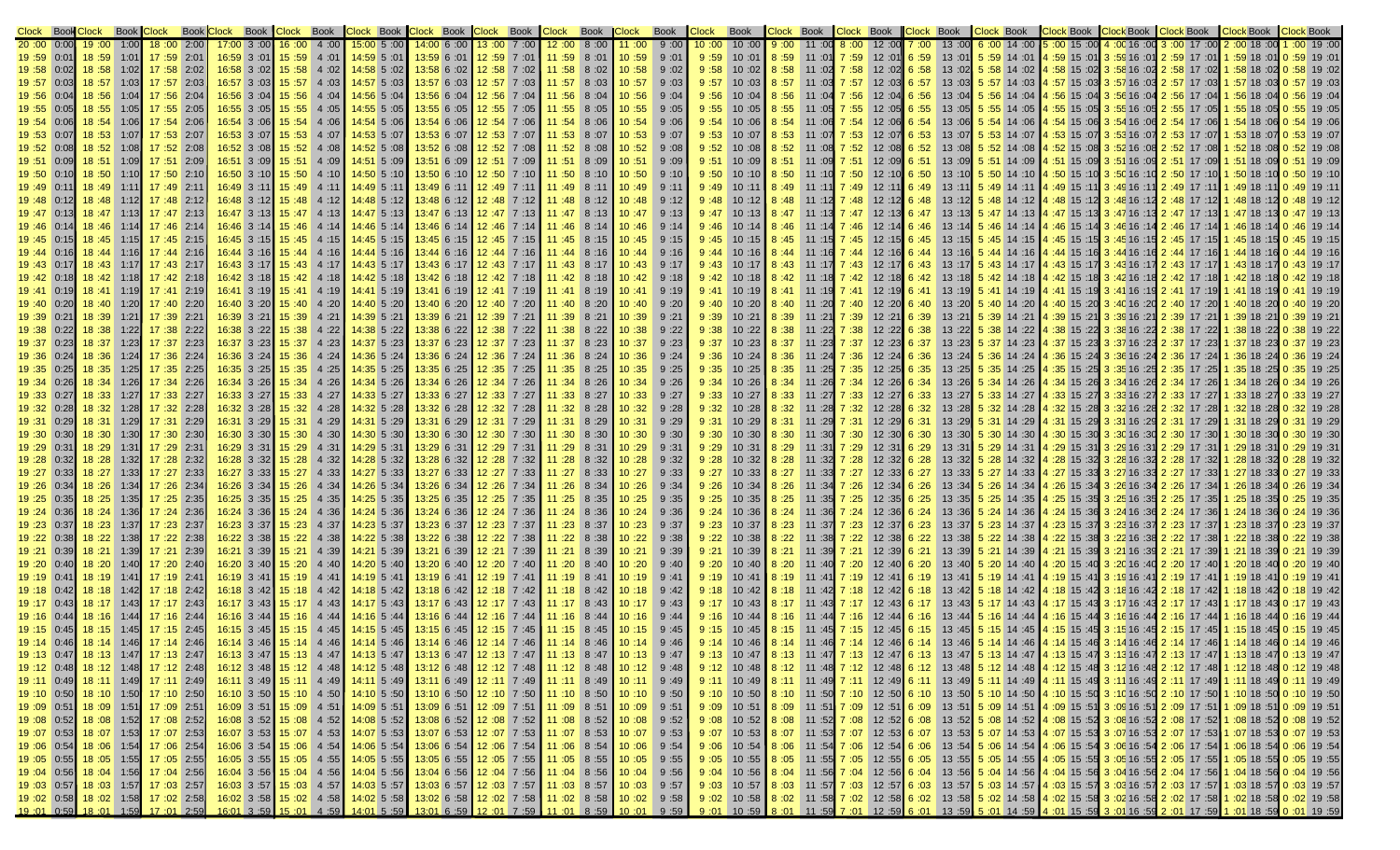| Clock Book Clock                                                                |                |              |                            |      |                            |                    |                                                           | Book Clock Book Clock Book Clock Book Clock Book Clock Book Clock Book Clock Book Clock                                                                                                                                                                                                                                                 |              |                |                               |       |                       | <b>Book</b>  |              | <b>Clock</b> Book Clock Book Clock Book Clock Book |       |                              |       |                              |          |                |      |                       |                                | <b>Clock Book Clock Book Clock Book Clock Book</b>   |                                                                                                                                                                                                                                | <b>IClock Book</b>               | <b>Clock Book</b>                            |
|---------------------------------------------------------------------------------|----------------|--------------|----------------------------|------|----------------------------|--------------------|-----------------------------------------------------------|-----------------------------------------------------------------------------------------------------------------------------------------------------------------------------------------------------------------------------------------------------------------------------------------------------------------------------------------|--------------|----------------|-------------------------------|-------|-----------------------|--------------|--------------|----------------------------------------------------|-------|------------------------------|-------|------------------------------|----------|----------------|------|-----------------------|--------------------------------|------------------------------------------------------|--------------------------------------------------------------------------------------------------------------------------------------------------------------------------------------------------------------------------------|----------------------------------|----------------------------------------------|
|                                                                                 |                |              |                            | 2:00 | $17:00$ 3 :00 16 :00       | 4 :00              | $15:00$ 5 :00                                             | 14:00 6 :00 13 :00 7 :00                                                                                                                                                                                                                                                                                                                |              |                |                               | 8:00  |                       | 9:00         |              | 10:00                                              |       |                              |       | 12:00                        |          | 13 :00         |      |                       |                                | 00: 16 00: 14 00: 15 00: 15 00: 6 00: 14 00: 6       |                                                                                                                                                                                                                                |                                  | $:00$ 19 $:00$                               |
| 19 :59 0:01                                                                     | 18:59          |              | $1:01$ 17:59 2:01          |      | 16:59 3 :01 15 :59 4 :01   |                    | $14:59$ 5:01                                              | 13:59 6 :01 12 :59 7 :01 11 :59 8 :01 16:59                                                                                                                                                                                                                                                                                             |              |                |                               |       |                       | 9:01         | 9:59         | $10:01$ 8:59                                       |       | 11:01                        | 7:59  | $12:01$ 6:59                 |          | 13:01          |      |                       |                                |                                                      | 01 1 :59 18 :01 1 :59 18 :01 3 :59 16 :01 2 :59 17 :01 1 :59 18 :01                                                                                                                                                            |                                  | $0:59$ 19:01                                 |
| 19 :58 0:02 18 :58                                                              |                |              | $1:02$ 17:58 2:02          |      |                            |                    |                                                           | 10:58 11 02 158 7 :02 158 102 14:58 5 :02 13:58 6 :02 16:58 16:58 16:58                                                                                                                                                                                                                                                                 |              |                |                               |       | 8 :02 10 :58          | 9:02         | 9:58         | $10:02$ 8:58                                       |       | 11:02 7:58                   |       | $12:02$ 6:58                 |          | 13:02          |      |                       |                                |                                                      | 02: 19 58: 0 02: 18 68: 1   02: 17 68: 2 02: 16: 16: 16: 3: 14: 16: 15: 14: 02: 14: 58: 58: 58: 58: 5                                                                                                                          |                                  |                                              |
| 19 :57 0:03                                                                     |                |              | 18:57 1:03 17:57 2:03      |      | $16:57$ 3 :03 15 :57 4 :03 |                    | 14:57 5:03                                                | 13:57 6 :03 12 :57 7 :03 11 :57 8 :03                                                                                                                                                                                                                                                                                                   |              |                |                               |       | 10:57                 | 9:03         | 9:57         | 10:03                                              | 8:57  | 11:03 7:57                   |       | $12:03$ 6:57                 |          | 13:03          |      |                       |                                |                                                      | 5. 17 17: 03 14 15: 03 3 157 16: 03 2 157 17: 03                                                                                                                                                                               | 1 :57 18 :03                     | $0:57$ 19:03                                 |
| 19:56<br>0:04                                                                   | 18:56          |              | $1:04$ 17:56 2:04          |      | 16:56 3 :04 15 :56         |                    | 4 :04 <b>14:56</b> 5 :04                                  | $13:56$ 6 :04 12 :56 7 :04 11 :56                                                                                                                                                                                                                                                                                                       |              |                |                               | 8:04  | 10:56                 | 9:04         | 9:56         | 10:04                                              | 8:56  | 11:04 $7:56$                 |       | $12:04$ 6:56                 |          | 13:04          |      | $5:56$ 14:04          |                                |                                                      | <b>4: 56 15: 04 3: 56 16: 04 2: 56 17: 04</b>                                                                                                                                                                                  | 1 :56 18                         | $:56$ 19 :04                                 |
| 19:55<br>0:05                                                                   | 18:55          | 1:05         | 17:55 2:05                 |      | 16:55 3 :05 15 :55 4 :05   |                    | $14:55$ 5 :05                                             | $13:55$ 6 :05 12 :55 7 :05                                                                                                                                                                                                                                                                                                              |              |                | $11:55$ 8:05                  |       | 10:55                 | 9:05         | 9:55         | 10:05                                              | 8:55  | 11:05                        | 7:55  | $12:05$ 6:55                 |          | 13:05          |      | $5:55$ 14:05          |                                | ∴55  15  :05 <mark>3  :55</mark> 16  :05             | 2:55 17:05                                                                                                                                                                                                                     | $:55 \; 18$                      | $:55$ 19:05                                  |
| $19:54$ 0:06                                                                    | 18:54          | 1:06         | 17:54 2:06                 |      |                            |                    | 16:54 3 :06 15 :54 4 :06 14:54 5 :06                      | $13:54$ 6 :06 12 :54 7 :06                                                                                                                                                                                                                                                                                                              |              |                | 11:54                         | 8:06  | 10:54                 | 9:06         | 9:54         | 10:06                                              | 8:54  | $11:06$ 7:54                 |       | $12:06$ 6:54                 |          | 13:06          |      | $5:54$ 14:06          | $\vert 4:54 \vert 15:06 \vert$ | 3:5416:06                                            | 2 :54 17 :06                                                                                                                                                                                                                   | :54 18 :06                       | :54 19 :06                                   |
| 19 :53 0:07                                                                     | 18:53          | 1:07∎        | $17:53$ 2:07               |      |                            |                    | 16:53 3 :07 15 :53 4 :07 14:53 5 :07                      | 13:53 6 :07 12 :53 7 :07 11 :53 8 :07 10 :53                                                                                                                                                                                                                                                                                            |              |                |                               |       |                       | 9:07         | 9:53         | 10:07                                              | 8:53  | 11 :07                       | 7:53  | 12:07 6:53                   |          | 13 :07         |      | $5:53$ 14:07          |                                | 1: 53 15: 07 3: 53 16: 07                            | 2:53 17:07                                                                                                                                                                                                                     | 1 :53 18 :01                     | 0:53 19:07                                   |
| 19 :52 0:08                                                                     | 18:52          |              | 1:08 17:52 2:08            |      |                            |                    | 16:52 3 :08 15 :52 4 :08 14:52 5 :08                      | 13:52 6 :08 12 :52 7 :08                                                                                                                                                                                                                                                                                                                |              |                | 11:52                         |       | $8:08$ 10:52          | 9:08         | 9:52         | 10:08                                              |       | 11:08                        | 7:52  | $12:08$ 6:52                 |          | 13:08          |      | $5:52$ 14:08          | $\cdot$ :52 15 :08             | 3:5216:08                                            | 2:52 17:08                                                                                                                                                                                                                     | 1 :52 18                         | :52 19 :08                                   |
| 19:51                                                                           | 18:51<br>0:09  |              | $1:09$ 17:51 2:09          |      |                            |                    | 16:51 3 :09 15 :51 4 :09 14:51 5 :09                      | $13:51$ 6 :09 12 :51 7 :09                                                                                                                                                                                                                                                                                                              |              |                | 11:51                         |       | $8:09$ 10:51          | 9:09         | 9:51         | 10 :09 <b>I</b>                                    | 8:51  | 11:09 7:51                   |       | $12:09$ 6:51                 |          | 13:09          |      |                       |                                |                                                      | $\overline{5}$ : 51 17 :09 09 :51 15 :09 3 :51 16 :09 2 :51 17 :09                                                                                                                                                             | 1:51 18:09                       | 0 :51 19 :09                                 |
| $19:50$ 0:10                                                                    | 18:50          |              | 1:10 17:50 2:10            |      |                            |                    | <b>16:50</b> 3 :10 <b>15 :50</b> 4 :10 <b>14:50 5 :10</b> | 13:50 6 :10 12 :50 7 :10 1                                                                                                                                                                                                                                                                                                              |              |                |                               |       | 11 :50 8 :10 10 :50   | 9:10         | 9:50         | $10:10$ 8:50                                       |       | $11:10$ 7:50                 |       | $12:10$ 6:50                 |          | 13:10          |      |                       |                                | $\overline{5}$ : 50 14 :10 4 :50 15 :10 3 :50 16 :10 | $2:50$ 17:10                                                                                                                                                                                                                   | :50 18 :1                        | $:50$ 19:10                                  |
| 19:49 0:11 18:49                                                                |                | 1:11         | 17:49 2:11                 |      |                            |                    |                                                           | 10: 11 11: 7 49: 10 11: 1 6: 10 4: 10 14: 10 4: 10 4: 10 4: 10 15: 10 16: 10 4: 10 16: 10 16: 10 16: 10                                                                                                                                                                                                                                 |              |                |                               |       | 8:11   10:49          | 9:11         | 9:49         | 10 :11 <b>8 :49</b>                                |       | 11:11 7:49                   |       | 12:1'                        | 6:49     | 13:11          |      | $5:49$ 14:11          |                                |                                                      | <b>11:</b> 17 49: 2 11: 16: 16: 11: 16: 49: 49: 49: 4                                                                                                                                                                          | 1: 18: 19: 1                     | l 0 :49  19 :11                              |
| $19:48$ 0:12                                                                    | 18:48          | - 1:12∎      | 17:48 2:12                 |      |                            |                    | 16:48 3 :12 15 :48 4 :12 14:48 5 :12                      | $13:48$ 6:12                                                                                                                                                                                                                                                                                                                            |              | $12:48$ 7:12   | 11:48                         |       | 10:48                 | 9:12         | 9:48         | 10:12                                              |       | 11 :12                       | 7:48  | 12:12                        | 6:48     |                | 5:48 | 14 :12                | $:48$ 15 :12                   | 3:48 16:12                                           | 2 :48 17 :12                                                                                                                                                                                                                   | :48 18                           | $:48$ 19:12                                  |
| 19:47<br>0:13                                                                   | 18:47          | 1:13         | 17:47 2:13                 |      | 16:47 3 :13 15 :47         |                    | $\vert$ 4:13 14:47 5:13                                   | $13:47$ 6 :13 12 :47 7 :13                                                                                                                                                                                                                                                                                                              |              |                |                               | 8:13  | 10:47                 | 9:13         | 9:47         | 10:13                                              |       |                              |       | 12:13                        |          |                |      |                       |                                | 3:4716                                               |                                                                                                                                                                                                                                |                                  |                                              |
| 19:46<br>0:14                                                                   | 18:46          | 1:14         | $17:46$ 2:14               |      | $16:46$ 3:14 $15:46$       | 4:14               | $14:46$ 5:14                                              | $13:46$ 6:14                                                                                                                                                                                                                                                                                                                            |              | 12 :46   7 :14 | 11:46                         | 8:14  | 10:46                 | 9:14         | 9:46         | 10:14                                              | 8:46  | 11:14                        | 7:46  | 12:14                        | 6:46     |                | 5:46 | 14:14                 | l :46 15 :14                   | 3:46 16:14                                           | 2 :46 17 :14                                                                                                                                                                                                                   | :46 18                           | $:46$ 19:14                                  |
| $19:45$ 0:15                                                                    | 18:45          | 1:15         | 17:45 2:15                 |      |                            |                    | 16:45 3 :15 15 :45 4 :15 14:45 5 :15                      | 13:45 6 :15 12 :45 7 :15                                                                                                                                                                                                                                                                                                                |              |                | 11:45                         |       | $8:15$ 10:45          | 9:15         | 9:45         | 10:15                                              |       | 11:15                        | 7:45  | 12:15                        | 6:45     | 13:15          | 5:45 | 14:15                 | 1 :45 15 :15 <b> </b>          | 3 :45 16 :15                                         | 2 :45  17 :15 <b>I</b>                                                                                                                                                                                                         | :45 18                           |                                              |
| 19:44<br>0:16                                                                   | 18:44          | 1:16∥        | 17:44 2:16                 |      | 16:44 3:16 15:44           | 4:16               | $14:44 \ 5:16$                                            | 13:446:16                                                                                                                                                                                                                                                                                                                               |              | $12:44$ 7:16   | 11:44                         |       | $8:16$ 10:44          | 9:16         | 9:44         | 10:16                                              | 8:44  | 11 :16                       | 7:44  | 12:16                        |          | 13:16          | 5:44 |                       | l :44 15 :16                   | 3:4416:16                                            | 2 :44 17 :16 <b>1</b>                                                                                                                                                                                                          | 1 :44 18                         |                                              |
| 19:43 0:17                                                                      | 18:43          | 1:17         | 17:43 2:17                 |      | 16:43 3 :17 15 :43 4 :17   |                    | $14:43$ 5:17                                              | 13:436:17                                                                                                                                                                                                                                                                                                                               |              | 12:43 7:17     | 11:43                         |       | 8:17   10:43          | 9:17         | 9:43         | 10:17                                              |       |                              |       | 12:17                        |          |                |      | $5:43$ 14:17          | 4 :43 15 :17                   | 3:43:16:17                                           | 17: 17 13∷ 2                                                                                                                                                                                                                   |                                  | 0:43 19:17                                   |
| 19:42 0:18 18:42<br>$19:41$ 0:19                                                | 18:41 1:19     |              | 17:41 2:19                 |      | $16:41$ 3 :19 15 :41 4 :19 |                    | $14:41$ 5:19                                              | 10:42 3 :18 15 :42 4 :18 14:42 5 :18 13:42 6 :18 12 :42 7 :18 11 :42<br>13:41 6:19                                                                                                                                                                                                                                                      |              | $12:41$ 7:19   | 11:41                         | 8:19  | $8:18$ 10:42<br>10:41 | 9:18<br>9:19 | 9:42<br>9:41 | 10 :18 <b>8 :42</b><br>10:19                       |       | $11:18$ 7:42<br>11 :19 7 :41 |       | 12:18<br>12:19               | 6:42     | 13:18          | 5:42 | $5:41$ 14:19          |                                | 3:4116:19                                            | 18: 17 12: 2 18: 16 12: 16 18: 16 18: 15 18: 14 18: 14<br> 19: 17 141: 2                                                                                                                                                       | :41 18                           | 18: 19 18 18 18 19: 18 19: 1<br>0 :41 19 :19 |
| 19:40 0:20                                                                      | 18:40          | 1:20         | $17:40$ 2:20               |      | 16:40 3 :20 15 :40         |                    | 4 :20 14:40 5 :20                                         | 13:40 6 :20 12 :40 7 :20                                                                                                                                                                                                                                                                                                                |              |                | 11:40                         |       | $8:20$ 10:40          | 9:20         | 9:40         | 10:20                                              | 8 :40 | 11:20 7:40                   |       | $12:20$ 6:40                 |          | 13:20          | 5:40 |                       | 4 :41 15 :19                   |                                                      | 14 :20 4: 40 15 :20 3 :40 16 :20 2 :40 17 :20                                                                                                                                                                                  | :40 18                           | $:40$ 19 :20                                 |
| 19:39<br>0:21                                                                   | 18:39          | 1:21         | 17:39 2:21                 |      | 16:39 3 :21                | $15:39$ 4:21       | 14:39 5 :21                                               | 13:39 6 :21                                                                                                                                                                                                                                                                                                                             | $12:39$ 7:21 |                | 11:39                         | 8 :21 | 10:39                 | 9:21         | 9:39         | 10:21                                              | 8:39  | 11:21                        | 7:39  | 12:21                        | $1$ 6:39 | 13:21          |      | 5:39 14:21            | l :39 15 :21 l                 | 3:39:16:21                                           | 2: 39 17: 21                                                                                                                                                                                                                   | $:39 \; 18 \; 2$                 | $:39$ 19:21                                  |
| 19:38<br>0:22                                                                   | 18:38          | 1:22         | 17:38 2:22                 |      | 16:38 3 :22                | $15:38$ 4:22       | $14:38$ 5:22                                              | 13:38 6 :22 12 :38 7 :22                                                                                                                                                                                                                                                                                                                |              |                | 11:38                         | 8:22  | 10:38                 | 9:22         | 9:38         | 10:22                                              | 8:38  | 11:22                        | 7:38  | $12:22$ 6:38                 |          | 13:22          | 5:38 |                       |                                | 14 :22 4 :38 15 :22 3 :38 16 :22                     | 2 :38 17 :22                                                                                                                                                                                                                   | :38 18 :22                       | $:38$ 19:22                                  |
| 19:37<br>0:23                                                                   | 18:37          | 1:23         | 17:37 2:23                 |      | $16:37$ 3 :23              |                    | 15:37 4:23 14:37 5:23                                     | $13:37$ 6 :23 12 :37 7 :23 11 :37                                                                                                                                                                                                                                                                                                       |              |                |                               | 8:23  | 10:37                 | 9:23         | 9:37         | 10:23                                              | 8:37  | $11:23$ 7:37                 |       | $12:23$ 6:37                 |          | 13:23          |      |                       |                                |                                                      | 5: 37 14 :23 4 :37 15 :23 3 :37 16 :23 2 :37 17 :23                                                                                                                                                                            | $:37$ 18 :23                     | $0:37$ 19:23                                 |
| $19:36$ 0:24                                                                    | 18:36          | 1:24         | 17:36 2:24                 |      |                            |                    | 16:36 3 :24 15 :36 4 :24 14:36 5 :24                      | <b>13:36 6 :24 12 :36 7 :24 11 :36 8 :24 10 :36</b>                                                                                                                                                                                                                                                                                     |              |                |                               |       |                       | 9:24         | 9:36         | $10:24$ 8:36                                       |       | 11:24                        | 7:36  | $12:24$ 6:36                 |          | 13:24          |      | $5:36$ 14 :24         |                                | $4:36$ 15 :24 3 :36 16 :24                           | $2:36$ 17:24                                                                                                                                                                                                                   | $:36$ 18:24                      | $:36$ 19 :24                                 |
| 19:35                                                                           | 18:35<br>0:25  | 1:25         | $17:35$ 2:25               |      |                            |                    | 16:35 3 :25 15 :35 4 :25 14:35 5 :25                      | $13:35$ 6 :25 12 :35 7 :25                                                                                                                                                                                                                                                                                                              |              |                | 11:35                         |       | $8:25$ 10:35          | 9:25         | 9:35         | 10:25                                              | 8:35  | 11:25                        | 7:35  | $12:25$ 6:35                 |          | 13:25          |      |                       |                                |                                                      | $5:35$ 14 :25 4 :35 15 :25 3 :35 16 :25 2 :35 17 :25                                                                                                                                                                           | 1:35 18:25                       | $0:35$ 19:25                                 |
| $19:34$ 0:26                                                                    | 18:34          | 1:26         | $17:34$ 2:26               |      | $16:34$ 3 :26              | $15:34$ 4:26       | $14:34$ 5 :26                                             | 13:34 6 :26 12 :34 7 :26                                                                                                                                                                                                                                                                                                                |              |                | 11:34                         |       | 8 :26   10 :34        | 9:26         | 9:34         | 10:26                                              | 8:34  | 11:26                        | 7 :34 | $12:26$ 6:34                 |          | 13:26          |      | 5:34 14:26            |                                | <b>4:34 15:26 3:34 16:26</b>                         | 2:34 17:26                                                                                                                                                                                                                     | $:34$ 18:26                      | 0:34 19:26                                   |
| 19:33                                                                           | 18:33<br>0:27  | 1:27         | $17:33$ 2:27               |      | 16:33 3 :27 15 :33         |                    | 4 :27 14:33 5 :27                                         | $13:33$ 6 :27 12 :33 7 :27 11 :33                                                                                                                                                                                                                                                                                                       |              |                |                               |       | $8:27$ 10:33          | 9:27         | 9:33         | 10:27                                              | 8:33  | $11:27$ 7:33                 |       | $12:27$ 6:33                 |          | 13:27          |      |                       |                                |                                                      | <b>5</b> :33 14 :27 <b>4 :33 15 :27 3 :33 16 :27 2 :33 17 :27 5 :33 14 :27 <b>4 :33 15 :27 3</b></b>                                                                                                                           |                                  |                                              |
| 19 :32 0:28                                                                     | 18:32          | 1:28         | $17:32$ 2:28               |      | $16:32$ 3 :28              | $15:32 \quad 4:28$ | 14:32 5 :28                                               | $13:32$ 6 :28                                                                                                                                                                                                                                                                                                                           |              | 12:32 7:28     | 11:32                         | 8:28  | 10:32                 | 9:28         | 9:32         | 10:28                                              | 8:32  | 11 :28                       | 7:32  | $12:28$ 6:32                 |          | 13:28          |      | $5:32$ 14:28          | 4:32 15:28                     | 3:32 16:28                                           | 2:32 17:28                                                                                                                                                                                                                     | $:32$ 18 $:28$                   | 0:32 19:28                                   |
| 0:29<br>19:31                                                                   | 18:31          | 1:29         | 17:31 2:29                 |      | $16:31$ 3 :29 15 :31       |                    | $4:29$ 14:31 5 :29                                        | 13:31 6 :29 12 :31 7 :29                                                                                                                                                                                                                                                                                                                |              |                | 11:31                         | 8:29  | 10:31                 | 9:29         | 9:31         | $10:29$ 8:31                                       |       | 11 :29 7 :31                 |       | $12:29$ 6:31                 |          | 13:29          | 5:31 | 14 :29                |                                |                                                      | 4:31 15:29 3:31 16:29 2:31 17:29                                                                                                                                                                                               | :31 18                           | 0 :31 19 :29                                 |
| 19 :30 0:30                                                                     | 18:30          | 1:30         | $17:30$ 2:30               |      | 16:30 3:30                 |                    | 15:30 4:30 14:30 5:30                                     | 13:30 6:30 12:30 7:30                                                                                                                                                                                                                                                                                                                   |              |                |                               |       | 11 :30 8 :30 10 :30   | 9:30         | 9:30         | 10:30                                              | 8:30  | $11:30$ 7:30                 |       | $12:30$ 6:30                 |          | 13:30          |      | $5:30$ 14:30          |                                | 4 :30 15 :30 3 :30 16 :30                            | 2:30 17:30                                                                                                                                                                                                                     | $:30$ 18:30                      | 0:30 19:30                                   |
| $19:29$ 0:31                                                                    | 18:29          | 1:31         | $17:29$ 2:31               |      | 16:29 3:31                 | $15:29$ 4:31       | 14:29 5:31                                                | $13:29$ 6 :31 12 :29 7 :31                                                                                                                                                                                                                                                                                                              |              |                | 11:29                         |       | 8:31   10:29          | 9:31         | 9:29         | $10:31$ 8:29                                       |       | 11:31                        | 7:29  | $12:31$ 6:29                 |          | 13:31          |      | $5:29$ 14:31          | $4:29$ 15:3                    | 3:29:16:3'                                           | 2 :29 17 :31                                                                                                                                                                                                                   | $:29$ 18:3                       | 0 :29 19 :31                                 |
| 19:28<br>0:32                                                                   | 18:28          | 1:32         | $17:28$ 2:32               |      | 16:28 3 :32 15 :28 4 :32   |                    | $14:28$ 5:32                                              | $13:28$ 6 :32                                                                                                                                                                                                                                                                                                                           |              |                | $12:28$ 7:32 11:28 8:32 10:28 |       |                       | 9:32         | 9:28         | 10:32                                              | 8:28  | $11:32$ 7:28                 |       | $12:32$ 6:28                 |          | 13:32          |      | $5:28$ 14:32          | 4 :28 15 :32                   |                                                      | $3:2816:32$ 2:28 17:32                                                                                                                                                                                                         | : 2818 : 32                      | $0:28$ 19:32                                 |
| $19:27$ 0:33                                                                    | 18:27          | 1:33         | 17 :27 2:33                |      | $16:27$ 3:33               | $15:27$ 4:33       | $14:27$ 5 :33                                             | 13:27 6 :33 12 :27 7 :33                                                                                                                                                                                                                                                                                                                |              |                | 11:27                         |       | $8:33$ 10:27          | 9:33         | 9:27         | 10:33                                              | 8 :27 | 11:33                        | 7 :27 | $12:33$ 6:27                 |          | 13:33          |      | $5:27$ 14:33          |                                |                                                      | 4 :27 15 :33 3 :27 16 :33 2 :27 17 :33                                                                                                                                                                                         | :2718:33                         | $0:27$ 19:33                                 |
| 19:26                                                                           | 18:26<br>0:34  | 1:34         | $17:26$ 2:34               |      | 16:26 3 :34 15 :26         |                    | $4:34$ 14:26 5:34                                         | 13:26 6 :34 12 :26 7 :34 11 :26                                                                                                                                                                                                                                                                                                         |              |                |                               |       | $8:34$ 10:26          | 9:34         | 9:26         | 10:34                                              | 8:26  | $11:34$ 7:26                 |       | $12:34$ 6:26                 |          | 13:34          |      | $5:26$ 14:34          |                                |                                                      | 4 :26 15 :34 3 :26 16 :34 2 :26 17 :34                                                                                                                                                                                         |                                  |                                              |
| $19:25$ 0:35                                                                    | 18:25          | 1:35         | $17:25$ 2:35               |      | $16:25$ 3:35               | $15:25$ 4:35       | $14:25 \ 5:35$                                            | 13:256:35                                                                                                                                                                                                                                                                                                                               |              | $12:25$ 7:35   | 11:25                         |       | $8:35$ 10:25          | 9:35         | 9:25         | 10:35                                              |       | 11 :35                       | 7:25  | $12:35$ 6:25                 |          | 13:35          |      | $5:25$ 14:35          | 4:25 15:35                     | 3:2516:35                                            | 2:25 17:35                                                                                                                                                                                                                     | $:25$ 18:35                      | $0:25$ 19:35                                 |
| 19:24                                                                           | 18:24<br>0:36  | 1:36         | 17:24 2:36                 |      |                            |                    | 16:24 3 :36 15 :24 4 :36 14:24 5 :36                      | $13:24$ 6:36 12:24 7:36 11:24                                                                                                                                                                                                                                                                                                           |              |                |                               |       | 8:36 10:24            | 9:36         | 9:24         | 10:36                                              | 8:24  | $11:36$ 7:24                 |       | $12:36$ 6:24                 |          | 13:36          |      |                       |                                |                                                      | $\overline{5}$ :24 14 :36   4 :24 15 :36 3 :24 16 :36 2 :24 17 :36                                                                                                                                                             |                                  |                                              |
| 19 :23 0:37<br>19:22<br>0:38                                                    | 18:23<br>18:22 | 1:37<br>1:38 | 17 :23 2:37<br>17 :22 2:38 |      | 16:23 3:37                 | $15:23$ 4:37       | $14:23 \ 5:37$<br>16:22 3 :38 15 :22 4 :38 14:22 5 :38    | 13:236:37<br>13:22 6 :38 12 :22 7 :38                                                                                                                                                                                                                                                                                                   | 12:23 7:37   |                | 11:23<br>11:22                | 8:37  | 10:23<br>$8:38$ 10:22 | 9:37<br>9:38 | 9:23<br>9:22 | 10:37<br>10:38                                     | 8:22  | $11:37$ 7:23<br>$11:38$ 7:22 |       | $12:37$ 6:23<br>$12:38$ 6:22 |          | 13:37<br>13:38 | 5:22 | $5:23$ 14:37<br>14:38 | 4 :23 15 :37                   | 3:23:16:37<br>4 :22 15 :38 3 :22 16 :38              | 2:23 17:37<br>2:22 17:38                                                                                                                                                                                                       | $: 23 \; 18 \; 3$<br>$:22$ 18:38 | 0 :23 19 :37<br>$:22$ 19 :38                 |
| 19:21<br>0:39                                                                   | 18:21          | 1:39         | $17:21$ 2:39               |      | 16:21 3:39                 | $15:21 \quad 4:39$ | $14:21 \;\; 5:39$                                         | 13:21 6 :39 12 :21 7 :39                                                                                                                                                                                                                                                                                                                |              |                | 11:21                         | 8:39  | 10:21                 | 9:39         | 9:21         | 10:39                                              | 8 :21 | 11:39                        | 7 :21 | $12:39$ 6:21                 |          | 13:39          |      | $5:21$ 14:39          |                                |                                                      | 4 :21 15 :39 3 :21 16 :39 2 :21 17 :39                                                                                                                                                                                         | $:21$ 18:39                      | $0:21$ 19:39                                 |
| 19 :20 0:40                                                                     | 18:20          | 1:40         | $17:20$ 2:40               |      | $16:20$ 3:40               |                    | 15:20 4:40 14:20 5:40                                     | 13:20 6:40 12:20 7:40                                                                                                                                                                                                                                                                                                                   |              |                | 11:20                         |       | 8:40   10:20          | 9:40         | 9:20         | 10:40                                              | 8:20  | 11:40                        | 7:20  | $12:40$ 6:20                 |          | 13:40          |      | 5:20 14:40            |                                | 4: 20 15:40 3:20 16:40                               | 2:20 17:40                                                                                                                                                                                                                     | : 20 18 : 40                     | $:20$ 19:40                                  |
| $19:19$ 0:41                                                                    | 18:19          | 1:41         | 17:19 2:41                 |      |                            |                    | 16:19 3:41   15:19 4:41   14:19 5:41                      | $13:19$ 6 :41 12 :19 7 :41 11 :19                                                                                                                                                                                                                                                                                                       |              |                |                               |       | 8:41   10:19          | 9:41         | 9:19         | 10:41                                              |       | $11:41$ 7:19                 |       | $12:41$ 6:19                 |          | 13:41          |      | $5:19$ 14 :41         |                                | 4: 19 15: 41 3: 19 16: 41                            | 2:19 17:41                                                                                                                                                                                                                     |                                  | $0:19$ 19:41                                 |
| $19:18$ 0:42                                                                    | 18:18          | 1:42         | $17:18$ 2:42               |      | 16:18 3 :42 15 :18 4 :42   |                    | $14:18$ 5:42                                              | 10:18 13:18 13:18 12:18 7:42 11:18 8:42 10:18                                                                                                                                                                                                                                                                                           |              |                |                               |       |                       | 9:42         | 9:18         | 10:42                                              | 8:18  | 11:42                        |       | $12:42$ 6:18                 |          | 13:42          |      | $5:18$ 14:42          |                                |                                                      | 4: 18 15 :42 3 :18 16 :42 2 :18 17 :42                                                                                                                                                                                         | 1 :18 18 :42                     |                                              |
| $19:17$ 0:43                                                                    | 18:17          | 1:43         | $17:17$ 2:43               |      |                            |                    |                                                           | 10: 17 18:43 11: 17 18:43 12: 17 12: 12 43 13:17 18:43 15:17 14:17 14:17 15:43 15: 17 16:17                                                                                                                                                                                                                                             |              |                |                               |       |                       | 9:43         | 9:17         | 10:43 <b>8:17</b>                                  |       | $11:43$ 7:17                 |       | $12:43$ 6:17                 |          | 13:43          |      |                       |                                |                                                      | 13. 19 17 19: 10 143 14: 18 14: 17 14: 12 14: 16 15: 18 14: 15: 18 14: 14: 14: 14: 5: 17: 15: 5: 17: 15: 15: 1                                                                                                                 |                                  |                                              |
| $19:16$ 0:44                                                                    |                | $18:16$ 1:44 | $17:16$ 2:44               |      |                            |                    | 16:16 3:44 15:16 4:44 14:16 5:44                          | 13:16 6:44 12:16 7:44 11:16 8:44                                                                                                                                                                                                                                                                                                        |              |                |                               |       | 10:16                 | 9:44         | 9:16         | 10 :44 <b>8 :16</b>                                |       | 11 :44 7 :16                 |       | $12:44$ 6:16                 |          | 13:44          |      |                       |                                |                                                      | $\overline{5}$ :16 14:44 4:16 15:44 3:16 16:44 2:16 17:44                                                                                                                                                                      | 1 :16 18 :44                     | $0:16$ 19:44                                 |
| 19:15 0:45                                                                      | 18:15          | 1:45         | $17:15$ 2:45               |      |                            |                    |                                                           | 15: 10   45: 8   15: 11   45: 7   15: 12   45: 6   45: 15   41: 15   41: 15   4: 15   15: 15   16: 15   16: 15                                                                                                                                                                                                                          |              |                |                               |       |                       | 9:45         | 9:15         | 10 ∶45   8 ∶15                                     |       |                              |       |                              |          |                |      |                       |                                |                                                      | 45: 19 <mark>15: 10 145 15: 14 15: 15 16: 12 15: 16 15: 3 15: 15 16: 14 15: 14 15: 5 16: 15 16: 16: 16: 16: 17 14: 11:</mark>                                                                                                  |                                  |                                              |
| 19:14 0:46 18:14 1:46 17:14 2:46                                                |                |              |                            |      |                            |                    |                                                           |                                                                                                                                                                                                                                                                                                                                         |              |                |                               |       |                       |              |              |                                                    |       |                              |       |                              |          |                |      |                       |                                |                                                      |                                                                                                                                                                                                                                |                                  |                                              |
|                                                                                 |                |              |                            |      |                            |                    |                                                           | 47  12: 10   12: 12   12: 12   13: 13   13: 13   13: 14   13: 13   13: 14: 13   13: 14   14: 13   13: 14   14: 13   13: 14   14: 13   13: 14   14: 13   13: 14   14: 13   13: 14   14: 13   14: 13   14: 13   14: 13   14: 13                                                                                                           |              |                |                               |       |                       |              |              |                                                    |       |                              |       |                              |          |                |      |                       |                                |                                                      |                                                                                                                                                                                                                                |                                  |                                              |
| 19:12 0:48 18:12 1:48 17:12 2:48                                                |                |              |                            |      |                            |                    |                                                           | 18: 9 248 10: 12 3 48: 8 12: 11 3 48: 7 12: 12 4: 6 13: 12 5 48 13: 12 4: 12 5: 148 16: 12 3 : 148 16: 12 12: 1                                                                                                                                                                                                                         |              |                |                               |       |                       |              |              |                                                    |       |                              |       |                              |          |                |      |                       |                                |                                                      | 48: 19 12: 0  48: 18 12: 12  48: 17 12: 12  48: 16  5: 15  12: 14  5: 12  14: 12  15  5: 12  12: 13   18: 12   18: 10   12: 10   12: 18   13: 18   13: 19   14: 19   14: 19   14: 19   14: 19   14: 19   14: 19   14: 19   14  |                                  |                                              |
| 19 :11 0:49 18 :11 1:49 17 :11 2:49                                             |                |              |                            |      |                            |                    |                                                           | 49. 9   11: 10   49. 8   11: 11   49. 7   11: 12   49. 6   11: 13   14: 11   14: 15   49. 16   16: 11   6: 2                                                                                                                                                                                                                            |              |                |                               |       |                       |              |              |                                                    |       |                              |       |                              |          |                |      |                       |                                |                                                      | 49: 10: 0 49: 18 11: 1  49: 17 11: 2  49: 16 11: 3  49: 15 11: 4   49: 18: 15  49: 12: 16  49: 12: 1  5: 11  5: 11  5: 14: 15: 15: 15: 15: 19: 17: 18: 19: 10: 11: 9: 11: 12: 18: 17: 17: 18: 19: 11: 19: 19: 11: 19: 19: 11:  |                                  |                                              |
| 19 :10 0:50 18 :10 1:50 17 :10 2:50                                             |                |              |                            |      |                            |                    |                                                           | 10 50 9 50 10: 0 10 5: 8 10: 11 30 10: 7 10: 12 5 10: 13: 10 13: 10 14: 10 5: 4 16: 10 5: 3 16: 10 16: 10 16: 1                                                                                                                                                                                                                         |              |                |                               |       |                       |              |              |                                                    |       |                              |       |                              |          |                |      |                       |                                |                                                      | 05: 10 10: 0 50: 18 10: 10 16: 50 10: 2 10: 10 10: 3 10: 15 10: 14 10: 50 10: 13 10: 16 10: 16 10: 17 10: 18 10: 16: 10: 19: 10: 10: 19                                                                                        |                                  |                                              |
|                                                                                 |                |              |                            |      |                            |                    |                                                           | 16:09 3 :51 10:09 3 :51 15:09 15:1 13:09 6 :51 13:09 6 :51 12:09 7 :51 16:09 3 :51 15:09 3                                                                                                                                                                                                                                              |              |                |                               |       |                       |              |              |                                                    |       |                              |       |                              |          |                |      |                       |                                |                                                      |                                                                                                                                                                                                                                |                                  |                                              |
| 19 :08 0:52 18 :08 1:52 17 :08 2:52                                             |                |              |                            |      |                            |                    |                                                           | 16:08 3 :52 10 :08 3 :52 10 :08 10 :08 10 :08 10 :08 10 :08 10 :08 10 :08 10 :08 4 :52 14:08 5 :52 16                                                                                                                                                                                                                                   |              |                |                               |       |                       |              |              |                                                    |       |                              |       |                              |          |                |      |                       |                                |                                                      |                                                                                                                                                                                                                                |                                  |                                              |
| 19 :07 0:53 18 :07 1:53 17 :07 2:53                                             |                |              |                            |      |                            |                    |                                                           | 16:07 9 :53 11 :07 8 :53 10 :07 15 :07 13:07 6 :53 13:07 6 :53 12 :07 7 :53 16:07 8 :53 16:07 3 :53 1                                                                                                                                                                                                                                   |              |                |                               |       |                       |              |              |                                                    |       |                              |       |                              |          |                |      |                       |                                |                                                      |                                                                                                                                                                                                                                |                                  |                                              |
| 19 :06 0:54 18 :06 1:54 17 :06 2:54                                             |                |              |                            |      |                            |                    |                                                           | 16:06 9 :54 10 :06 9 :54 13:06 6 :54 13:06 6 :54 13:06 6 :54 13:06 7 :54 16:06 3 :54 10 :06 16:06 16:06 16:06                                                                                                                                                                                                                           |              |                |                               |       |                       |              |              |                                                    |       |                              |       |                              |          |                |      |                       |                                |                                                      | 54 10:06 16:54 16:06 17 154 10:06 17 16:06 16:06 14:06 14:06 14:06 14:06 14:06 16:06 17:06 17:06 17:06 17:06 17:06 17:06 17:06 17:06 17:06 17:06 17:06 17:06 17:06 17:06 17:06 17:06 17:06 17:06 17:06 17:06 17:06 17:06 17:06 |                                  |                                              |
| 19 :05 0:55 18 :05 1:55 17 :05 2:55<br>19 :04  0:56  18 :04  1:56  17 :04  2:56 |                |              |                            |      |                            |                    |                                                           | 16:05 9 :55 10:05 8 :55 10:05 15 10:05 14:05 15:05 14:05 5 :55 16:05 16:05 16:05 16:05 16:05 16:05 1<br>105 9: 9 04 10: 04 56 11: 04 5: 15 04 7: 10 04 5: 14: 04 5: 15 12: 04 12: 16: 04 16: 04 3: 56 16: 04 16: 04 16: 04 16: 04 16: 04 16: 04 16: 04 16: 04 16: 04 16: 04 16: 04 16: 04 16: 04 16: 04 16: 04 16: 04 16: 04 16: 04 16: |              |                |                               |       |                       |              |              |                                                    |       |                              |       |                              |          |                |      |                       |                                |                                                      |                                                                                                                                                                                                                                |                                  |                                              |
| 19 :03  0:57  18 :03  1:57  17 :03  2:57                                        |                |              |                            |      |                            |                    |                                                           | 16:03 3 :57 10 :03 3 :57 13:03 6 :57 13:03 6 :57 13:03 6 :57 13:03 6 :57 14:03 16:03 16:03 16:03 16:03 16:03 1                                                                                                                                                                                                                          |              |                |                               |       |                       |              |              |                                                    |       |                              |       |                              |          |                |      |                       |                                |                                                      |                                                                                                                                                                                                                                |                                  |                                              |
| 19 :02 0:58 18 :02 1:58 17 :02 2:58                                             |                |              |                            |      |                            |                    |                                                           | 16:02 9 :58 10:02 9 :58 11:02 8 :58 12:02 6 :58 12:02 6 :58 12:02 7 :58 15:02 3 :58 15:02 9 :58 15:02 16:02 15                                                                                                                                                                                                                          |              |                |                               |       |                       |              |              |                                                    |       |                              |       |                              |          |                |      |                       |                                |                                                      | 9 58 1 102 18 58 1 102 18 19: 10 12: 2 3 58 5 10: 10 58 102 14 58 102 14 58 102 15 58 102 15 58 1 102 15 58 1 102 15 58 1 102 18 58 102 17: 58 1 102 18: 58 1                                                                  |                                  |                                              |
| 19 :01  0:59  18 :01  1:59                                                      |                |              | $17:01$ 2:59               |      |                            |                    |                                                           | 16:01 3 :59 10 :01 3 :59 10:01 3 :59 12 :01 7 :59 12 :01 7 :59 10:01 8 :59 10:01 3 :59 10:01 4 :59 1                                                                                                                                                                                                                                    |              |                |                               |       |                       |              |              |                                                    |       |                              |       |                              |          |                |      |                       |                                |                                                      | 59: 10: 0 59: 18: 10 10: 11 59: 10: 2 59: 10: 0 59: 15: 10: 4 59: 14: 10: 5 59: 10: 14: 10: 59: 10: 10: 59: 10: 10: 59: 10: 10: 59: 10: 10: 59: 10: 10: 59: 10: 10: 59: 10: 10: 59: 10: 10: 59: 10: 10: 59: 10: 10: 59: 10: 10 |                                  |                                              |